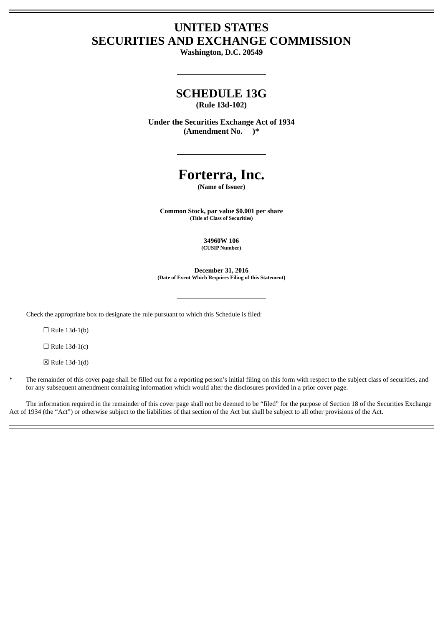# **UNITED STATES SECURITIES AND EXCHANGE COMMISSION**

**Washington, D.C. 20549**

# **SCHEDULE 13G (Rule 13d-102)**

**Under the Securities Exchange Act of 1934 (Amendment No. )\***

# **Forterra, Inc.**

**(Name of Issuer)**

**Common Stock, par value \$0.001 per share (Title of Class of Securities)**

> **34960W 106 (CUSIP Number)**

**December 31, 2016 (Date of Event Which Requires Filing of this Statement)**

Check the appropriate box to designate the rule pursuant to which this Schedule is filed:

 $\Box$  Rule 13d-1(b)

 $\Box$  Rule 13d-1(c)

☒ Rule 13d-1(d)

The remainder of this cover page shall be filled out for a reporting person's initial filing on this form with respect to the subject class of securities, and for any subsequent amendment containing information which would alter the disclosures provided in a prior cover page.

The information required in the remainder of this cover page shall not be deemed to be "filed" for the purpose of Section 18 of the Securities Exchange Act of 1934 (the "Act") or otherwise subject to the liabilities of that section of the Act but shall be subject to all other provisions of the Act.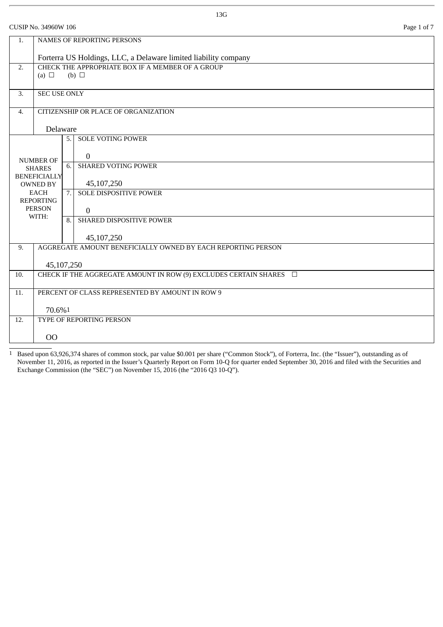| CUSIP No. 34960W 106 |  |  |
|----------------------|--|--|
|----------------------|--|--|

|                                        | CUSIP No. 34960W 106                                                                                                |    |                                                                            | Page 1 of 7 |
|----------------------------------------|---------------------------------------------------------------------------------------------------------------------|----|----------------------------------------------------------------------------|-------------|
| 1.                                     | NAMES OF REPORTING PERSONS                                                                                          |    |                                                                            |             |
|                                        |                                                                                                                     |    |                                                                            |             |
| 2.                                     | Forterra US Holdings, LLC, a Delaware limited liability company<br>CHECK THE APPROPRIATE BOX IF A MEMBER OF A GROUP |    |                                                                            |             |
|                                        | (b) $\Box$<br>(a) $\Box$                                                                                            |    |                                                                            |             |
| 3.                                     |                                                                                                                     |    |                                                                            |             |
|                                        | <b>SEC USE ONLY</b>                                                                                                 |    |                                                                            |             |
| 4.                                     |                                                                                                                     |    | CITIZENSHIP OR PLACE OF ORGANIZATION                                       |             |
|                                        | Delaware                                                                                                            |    |                                                                            |             |
|                                        |                                                                                                                     | 5. | <b>SOLE VOTING POWER</b>                                                   |             |
|                                        |                                                                                                                     |    |                                                                            |             |
|                                        | <b>NUMBER OF</b>                                                                                                    |    | $\boldsymbol{0}$                                                           |             |
|                                        | 6.<br><b>SHARES</b>                                                                                                 |    | <b>SHARED VOTING POWER</b>                                                 |             |
| <b>BENEFICIALLY</b><br><b>OWNED BY</b> |                                                                                                                     |    | 45,107,250                                                                 |             |
|                                        | <b>EACH</b>                                                                                                         |    | <b>SOLE DISPOSITIVE POWER</b>                                              |             |
|                                        | <b>REPORTING</b><br><b>PERSON</b>                                                                                   |    | 0                                                                          |             |
|                                        | WITH:<br>8.                                                                                                         |    | SHARED DISPOSITIVE POWER                                                   |             |
|                                        |                                                                                                                     |    |                                                                            |             |
| 9.                                     |                                                                                                                     |    | 45,107,250<br>AGGREGATE AMOUNT BENEFICIALLY OWNED BY EACH REPORTING PERSON |             |
|                                        |                                                                                                                     |    |                                                                            |             |
|                                        | 45,107,250                                                                                                          |    |                                                                            |             |
| 10.                                    | CHECK IF THE AGGREGATE AMOUNT IN ROW (9) EXCLUDES CERTAIN SHARES $\square$                                          |    |                                                                            |             |
| 11.                                    | PERCENT OF CLASS REPRESENTED BY AMOUNT IN ROW 9                                                                     |    |                                                                            |             |
|                                        | 70.6%1                                                                                                              |    |                                                                            |             |
| $\overline{12}$ .                      |                                                                                                                     |    | TYPE OF REPORTING PERSON                                                   |             |
|                                        | 00                                                                                                                  |    |                                                                            |             |
|                                        |                                                                                                                     |    |                                                                            |             |

1 Based upon 63,926,374 shares of common stock, par value \$0.001 per share ("Common Stock"), of Forterra, Inc. (the "Issuer"), outstanding as of November 11, 2016, as reported in the Issuer's Quarterly Report on Form 10-Q for quarter ended September 30, 2016 and filed with the Securities and Exchange Commission (the "SEC") on November 15, 2016 (the "2016 Q3 10-Q").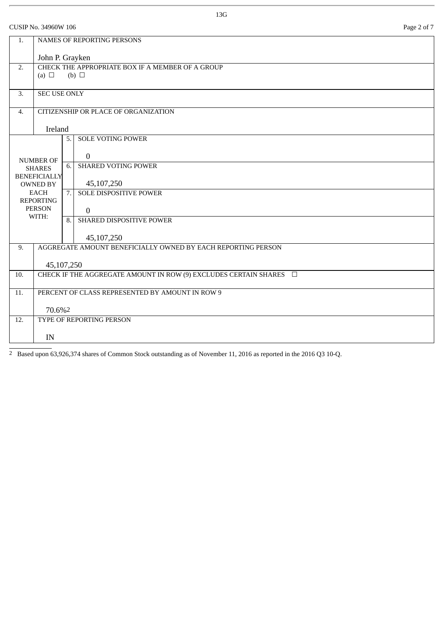|                                   | CUSIP No. 34960W 106                                                    |                  |                                                 | Page 2 of 7 |
|-----------------------------------|-------------------------------------------------------------------------|------------------|-------------------------------------------------|-------------|
| 1.                                | NAMES OF REPORTING PERSONS                                              |                  |                                                 |             |
|                                   | John P. Grayken                                                         |                  |                                                 |             |
| 2.                                | CHECK THE APPROPRIATE BOX IF A MEMBER OF A GROUP                        |                  |                                                 |             |
|                                   | (a) $\Box$<br>(b) $\Box$                                                |                  |                                                 |             |
| 3.                                | <b>SEC USE ONLY</b>                                                     |                  |                                                 |             |
|                                   |                                                                         |                  |                                                 |             |
| $\overline{4}$ .                  |                                                                         |                  | <b>CITIZENSHIP OR PLACE OF ORGANIZATION</b>     |             |
|                                   | Ireland                                                                 |                  |                                                 |             |
|                                   |                                                                         | 5.               | <b>SOLE VOTING POWER</b>                        |             |
|                                   |                                                                         |                  | $\Omega$                                        |             |
| <b>NUMBER OF</b><br><b>SHARES</b> |                                                                         | 6.               | <b>SHARED VOTING POWER</b>                      |             |
| <b>BENEFICIALLY</b>               |                                                                         |                  |                                                 |             |
| <b>OWNED BY</b><br><b>EACH</b>    |                                                                         | $\overline{7}$ . | 45,107,250<br><b>SOLE DISPOSITIVE POWER</b>     |             |
| <b>REPORTING</b>                  |                                                                         |                  |                                                 |             |
|                                   | <b>PERSON</b><br>WITH:                                                  |                  | $\overline{0}$                                  |             |
|                                   |                                                                         | 8.               | SHARED DISPOSITIVE POWER                        |             |
|                                   |                                                                         |                  | 45,107,250                                      |             |
| 9.                                | AGGREGATE AMOUNT BENEFICIALLY OWNED BY EACH REPORTING PERSON            |                  |                                                 |             |
|                                   | 45,107,250                                                              |                  |                                                 |             |
| 10.                               | CHECK IF THE AGGREGATE AMOUNT IN ROW (9) EXCLUDES CERTAIN SHARES $\Box$ |                  |                                                 |             |
| 11.                               |                                                                         |                  |                                                 |             |
|                                   |                                                                         |                  | PERCENT OF CLASS REPRESENTED BY AMOUNT IN ROW 9 |             |
|                                   | 70.6%2                                                                  |                  |                                                 |             |
| 12.                               |                                                                         |                  | TYPE OF REPORTING PERSON                        |             |
|                                   | IN                                                                      |                  |                                                 |             |
|                                   |                                                                         |                  |                                                 |             |

<sup>2</sup> Based upon 63,926,374 shares of Common Stock outstanding as of November 11, 2016 as reported in the 2016 Q3 10-Q.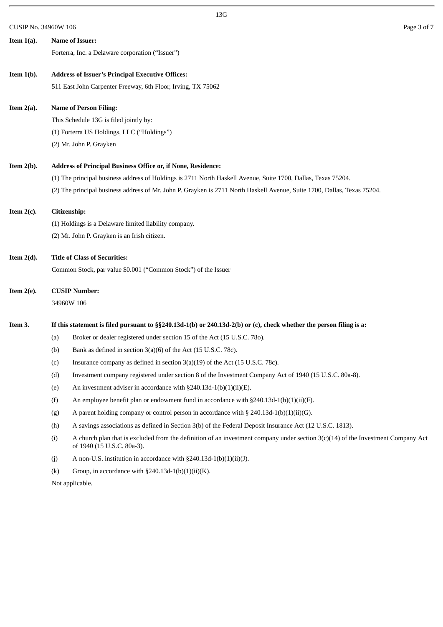|               | CUSIP No. 34960W 106                                                                                                   |                                                                                                                                                                  | Page 3 of 7 |  |  |  |
|---------------|------------------------------------------------------------------------------------------------------------------------|------------------------------------------------------------------------------------------------------------------------------------------------------------------|-------------|--|--|--|
| Item $1(a)$ . |                                                                                                                        | <b>Name of Issuer:</b>                                                                                                                                           |             |  |  |  |
|               |                                                                                                                        | Forterra, Inc. a Delaware corporation ("Issuer")                                                                                                                 |             |  |  |  |
| Item $1(b)$ . |                                                                                                                        | <b>Address of Issuer's Principal Executive Offices:</b>                                                                                                          |             |  |  |  |
|               |                                                                                                                        | 511 East John Carpenter Freeway, 6th Floor, Irving, TX 75062                                                                                                     |             |  |  |  |
| Item $2(a)$ . |                                                                                                                        | <b>Name of Person Filing:</b>                                                                                                                                    |             |  |  |  |
|               |                                                                                                                        | This Schedule 13G is filed jointly by:                                                                                                                           |             |  |  |  |
|               |                                                                                                                        | (1) Forterra US Holdings, LLC ("Holdings")                                                                                                                       |             |  |  |  |
|               |                                                                                                                        | (2) Mr. John P. Grayken                                                                                                                                          |             |  |  |  |
| Item $2(b)$ . | <b>Address of Principal Business Office or, if None, Residence:</b>                                                    |                                                                                                                                                                  |             |  |  |  |
|               |                                                                                                                        | (1) The principal business address of Holdings is 2711 North Haskell Avenue, Suite 1700, Dallas, Texas 75204.                                                    |             |  |  |  |
|               |                                                                                                                        | (2) The principal business address of Mr. John P. Grayken is 2711 North Haskell Avenue, Suite 1700, Dallas, Texas 75204.                                         |             |  |  |  |
| Item $2(c)$ . |                                                                                                                        | Citizenship:                                                                                                                                                     |             |  |  |  |
|               | (1) Holdings is a Delaware limited liability company.                                                                  |                                                                                                                                                                  |             |  |  |  |
|               | (2) Mr. John P. Grayken is an Irish citizen.                                                                           |                                                                                                                                                                  |             |  |  |  |
| Item $2(d)$ . |                                                                                                                        | <b>Title of Class of Securities:</b>                                                                                                                             |             |  |  |  |
|               |                                                                                                                        | Common Stock, par value \$0.001 ("Common Stock") of the Issuer                                                                                                   |             |  |  |  |
| Item $2(e)$ . |                                                                                                                        | <b>CUSIP Number:</b>                                                                                                                                             |             |  |  |  |
|               |                                                                                                                        | 34960W 106                                                                                                                                                       |             |  |  |  |
| Item 3.       | If this statement is filed pursuant to $\S$ 240.13d-1(b) or 240.13d-2(b) or (c), check whether the person filing is a: |                                                                                                                                                                  |             |  |  |  |
|               | (a)                                                                                                                    | Broker or dealer registered under section 15 of the Act (15 U.S.C. 780).                                                                                         |             |  |  |  |
|               | (b)                                                                                                                    | Bank as defined in section 3(a)(6) of the Act (15 U.S.C. 78c).                                                                                                   |             |  |  |  |
|               | (c)                                                                                                                    | Insurance company as defined in section 3(a)(19) of the Act (15 U.S.C. 78c).                                                                                     |             |  |  |  |
|               | (d)                                                                                                                    | Investment company registered under section 8 of the Investment Company Act of 1940 (15 U.S.C. 80a-8).                                                           |             |  |  |  |
|               | (e)                                                                                                                    | An investment adviser in accordance with §240.13d-1(b)(1)(ii)(E).                                                                                                |             |  |  |  |
|               | (f)                                                                                                                    | An employee benefit plan or endowment fund in accordance with $\S 240.13d-1(b)(1)(ii)(F)$ .                                                                      |             |  |  |  |
|               | (g)                                                                                                                    | A parent holding company or control person in accordance with § 240.13d-1(b)(1)(ii)(G).                                                                          |             |  |  |  |
|               | (h)                                                                                                                    | A savings associations as defined in Section 3(b) of the Federal Deposit Insurance Act (12 U.S.C. 1813).                                                         |             |  |  |  |
|               | (i)                                                                                                                    | A church plan that is excluded from the definition of an investment company under section $3(c)(14)$ of the Investment Company Act<br>of 1940 (15 U.S.C. 80a-3). |             |  |  |  |
|               | (j)                                                                                                                    | A non-U.S. institution in accordance with §240.13d-1(b)(1)(ii)(J).                                                                                               |             |  |  |  |
|               | (k)                                                                                                                    | Group, in accordance with $\S240.13d-1(b)(1)(ii)(K)$ .                                                                                                           |             |  |  |  |
|               |                                                                                                                        |                                                                                                                                                                  |             |  |  |  |

Not applicable.

13G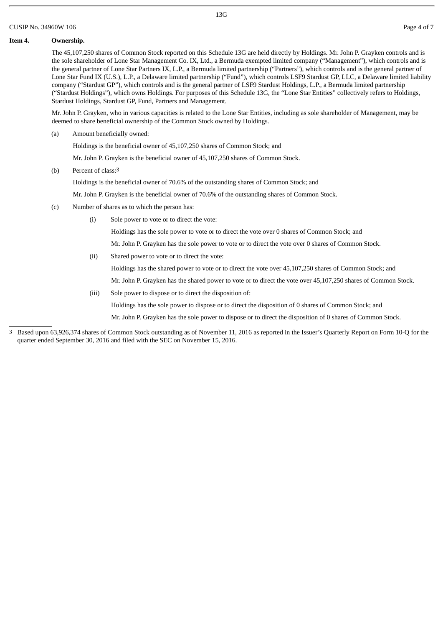#### **Item 4. Ownership.**

The 45,107,250 shares of Common Stock reported on this Schedule 13G are held directly by Holdings. Mr. John P. Grayken controls and is the sole shareholder of Lone Star Management Co. IX, Ltd., a Bermuda exempted limited company ("Management"), which controls and is the general partner of Lone Star Partners IX, L.P., a Bermuda limited partnership ("Partners"), which controls and is the general partner of Lone Star Fund IX (U.S.), L.P., a Delaware limited partnership ("Fund"), which controls LSF9 Stardust GP, LLC, a Delaware limited liability company ("Stardust GP"), which controls and is the general partner of LSF9 Stardust Holdings, L.P., a Bermuda limited partnership ("Stardust Holdings"), which owns Holdings. For purposes of this Schedule 13G, the "Lone Star Entities" collectively refers to Holdings, Stardust Holdings, Stardust GP, Fund, Partners and Management.

Mr. John P. Grayken, who in various capacities is related to the Lone Star Entities, including as sole shareholder of Management, may be deemed to share beneficial ownership of the Common Stock owned by Holdings.

(a) Amount beneficially owned:

Holdings is the beneficial owner of 45,107,250 shares of Common Stock; and

Mr. John P. Grayken is the beneficial owner of 45,107,250 shares of Common Stock.

(b) Percent of class:3

Holdings is the beneficial owner of 70.6% of the outstanding shares of Common Stock; and

Mr. John P. Grayken is the beneficial owner of 70.6% of the outstanding shares of Common Stock.

- (c) Number of shares as to which the person has:
	- (i) Sole power to vote or to direct the vote:

Holdings has the sole power to vote or to direct the vote over 0 shares of Common Stock; and

Mr. John P. Grayken has the sole power to vote or to direct the vote over 0 shares of Common Stock.

(ii) Shared power to vote or to direct the vote:

Holdings has the shared power to vote or to direct the vote over 45,107,250 shares of Common Stock; and

Mr. John P. Grayken has the shared power to vote or to direct the vote over 45,107,250 shares of Common Stock.

(iii) Sole power to dispose or to direct the disposition of:

Holdings has the sole power to dispose or to direct the disposition of 0 shares of Common Stock; and

Mr. John P. Grayken has the sole power to dispose or to direct the disposition of 0 shares of Common Stock.

3 Based upon 63,926,374 shares of Common Stock outstanding as of November 11, 2016 as reported in the Issuer's Quarterly Report on Form 10-Q for the quarter ended September 30, 2016 and filed with the SEC on November 15, 2016.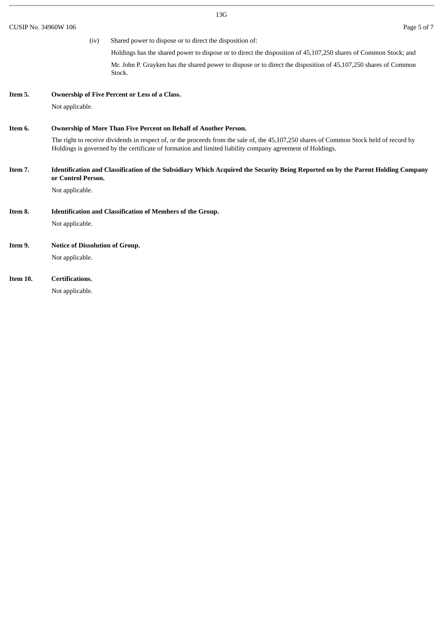| CUSIP No. 34960W 106 |                                                                                                                                                       | Page 5 of 7                                                                                                                                                                                                                                          |  |  |  |
|----------------------|-------------------------------------------------------------------------------------------------------------------------------------------------------|------------------------------------------------------------------------------------------------------------------------------------------------------------------------------------------------------------------------------------------------------|--|--|--|
|                      | (iv)                                                                                                                                                  | Shared power to dispose or to direct the disposition of:                                                                                                                                                                                             |  |  |  |
|                      |                                                                                                                                                       | Holdings has the shared power to dispose or to direct the disposition of 45,107,250 shares of Common Stock; and                                                                                                                                      |  |  |  |
|                      |                                                                                                                                                       | Mr. John P. Grayken has the shared power to dispose or to direct the disposition of 45,107,250 shares of Common<br>Stock.                                                                                                                            |  |  |  |
| Item 5.              | Ownership of Five Percent or Less of a Class.                                                                                                         |                                                                                                                                                                                                                                                      |  |  |  |
|                      | Not applicable.                                                                                                                                       |                                                                                                                                                                                                                                                      |  |  |  |
| Item 6.              |                                                                                                                                                       | Ownership of More Than Five Percent on Behalf of Another Person.                                                                                                                                                                                     |  |  |  |
|                      |                                                                                                                                                       | The right to receive dividends in respect of, or the proceeds from the sale of, the 45,107,250 shares of Common Stock held of record by<br>Holdings is governed by the certificate of formation and limited liability company agreement of Holdings. |  |  |  |
| Item 7.              | Identification and Classification of the Subsidiary Which Acquired the Security Being Reported on by the Parent Holding Company<br>or Control Person. |                                                                                                                                                                                                                                                      |  |  |  |
|                      | Not applicable.                                                                                                                                       |                                                                                                                                                                                                                                                      |  |  |  |
| Item 8.              | <b>Identification and Classification of Members of the Group.</b>                                                                                     |                                                                                                                                                                                                                                                      |  |  |  |
|                      | Not applicable.                                                                                                                                       |                                                                                                                                                                                                                                                      |  |  |  |
| Item 9.              | <b>Notice of Dissolution of Group.</b>                                                                                                                |                                                                                                                                                                                                                                                      |  |  |  |
|                      | Not applicable.                                                                                                                                       |                                                                                                                                                                                                                                                      |  |  |  |
| Item 10.             | <b>Certifications.</b>                                                                                                                                |                                                                                                                                                                                                                                                      |  |  |  |

13G

Not applicable.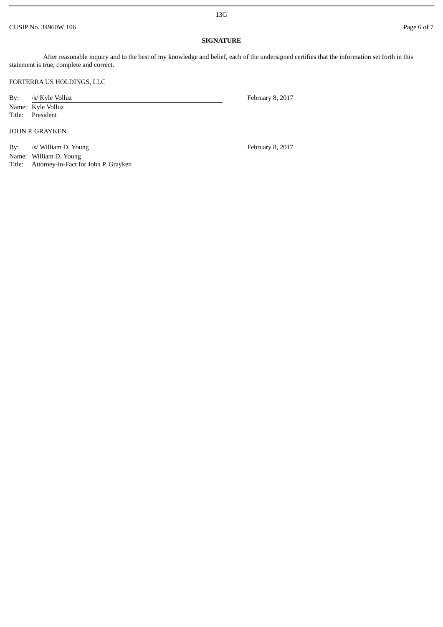13G

## **SIGNATURE**

After reasonable inquiry and to the best of my knowledge and belief, each of the undersigned certifies that the information set forth in this statement is true, complete and correct.

### FORTERRA US HOLDINGS, LLC

By: /s/ Kyle Volluz February 8, 2017

Name: Kyle Volluz Title: President

# JOHN P. GRAYKEN

By: /s/ William D. Young February 8, 2017

Name: William D. Young<br>Title: Attorney-in-Fact fo Attorney-in-Fact for John P. Grayken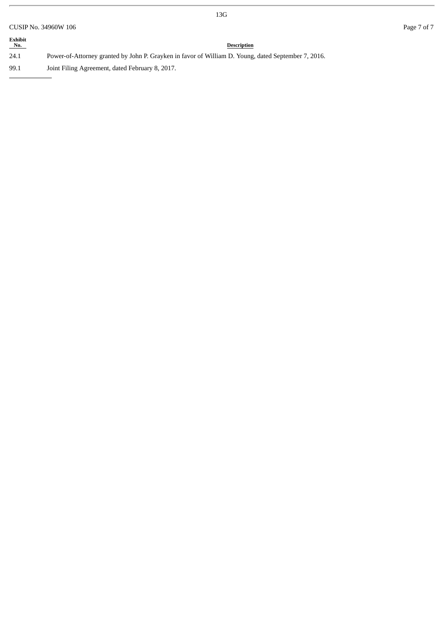| CUSIP No. 34960W 106      |                                                                                                     |  |
|---------------------------|-----------------------------------------------------------------------------------------------------|--|
| <b>Exhibit</b><br>$N_0$ . | <b>Description</b>                                                                                  |  |
| 24.1                      | Power-of-Attorney granted by John P. Grayken in favor of William D. Young, dated September 7, 2016. |  |
| 99.1                      | Joint Filing Agreement, dated February 8, 2017.                                                     |  |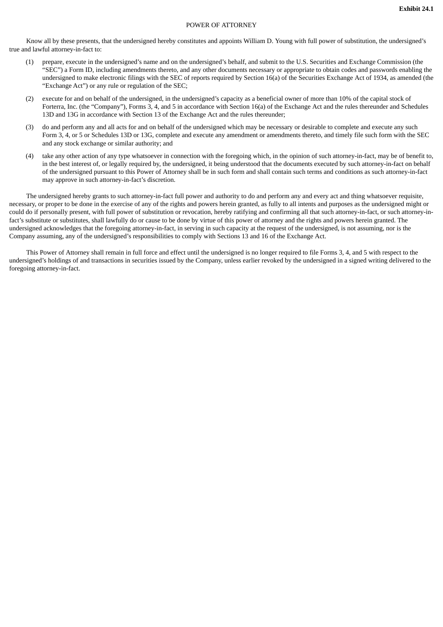#### POWER OF ATTORNEY

Know all by these presents, that the undersigned hereby constitutes and appoints William D. Young with full power of substitution, the undersigned's true and lawful attorney-in-fact to:

- (1) prepare, execute in the undersigned's name and on the undersigned's behalf, and submit to the U.S. Securities and Exchange Commission (the "SEC") a Form ID, including amendments thereto, and any other documents necessary or appropriate to obtain codes and passwords enabling the undersigned to make electronic filings with the SEC of reports required by Section 16(a) of the Securities Exchange Act of 1934, as amended (the "Exchange Act") or any rule or regulation of the SEC;
- (2) execute for and on behalf of the undersigned, in the undersigned's capacity as a beneficial owner of more than 10% of the capital stock of Forterra, Inc. (the "Company"), Forms 3, 4, and 5 in accordance with Section 16(a) of the Exchange Act and the rules thereunder and Schedules 13D and 13G in accordance with Section 13 of the Exchange Act and the rules thereunder;
- (3) do and perform any and all acts for and on behalf of the undersigned which may be necessary or desirable to complete and execute any such Form 3, 4, or 5 or Schedules 13D or 13G, complete and execute any amendment or amendments thereto, and timely file such form with the SEC and any stock exchange or similar authority; and
- (4) take any other action of any type whatsoever in connection with the foregoing which, in the opinion of such attorney-in-fact, may be of benefit to, in the best interest of, or legally required by, the undersigned, it being understood that the documents executed by such attorney-in-fact on behalf of the undersigned pursuant to this Power of Attorney shall be in such form and shall contain such terms and conditions as such attorney-in-fact may approve in such attorney-in-fact's discretion.

The undersigned hereby grants to such attorney-in-fact full power and authority to do and perform any and every act and thing whatsoever requisite, necessary, or proper to be done in the exercise of any of the rights and powers herein granted, as fully to all intents and purposes as the undersigned might or could do if personally present, with full power of substitution or revocation, hereby ratifying and confirming all that such attorney-in-fact, or such attorney-infact's substitute or substitutes, shall lawfully do or cause to be done by virtue of this power of attorney and the rights and powers herein granted. The undersigned acknowledges that the foregoing attorney-in-fact, in serving in such capacity at the request of the undersigned, is not assuming, nor is the Company assuming, any of the undersigned's responsibilities to comply with Sections 13 and 16 of the Exchange Act.

This Power of Attorney shall remain in full force and effect until the undersigned is no longer required to file Forms 3, 4, and 5 with respect to the undersigned's holdings of and transactions in securities issued by the Company, unless earlier revoked by the undersigned in a signed writing delivered to the foregoing attorney-in-fact.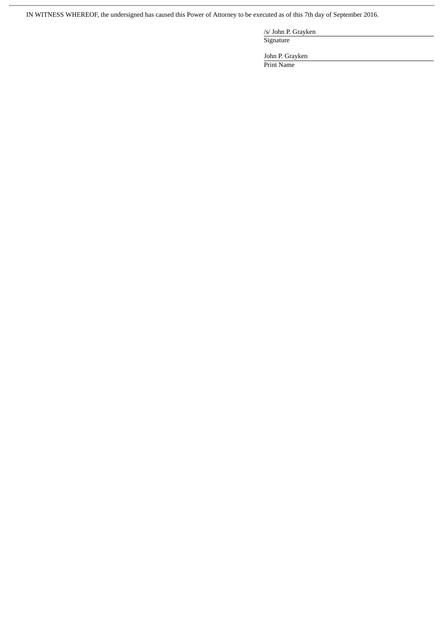IN WITNESS WHEREOF, the undersigned has caused this Power of Attorney to be executed as of this 7th day of September 2016.

/s/ John P. Grayken **Signature** 

John P. Grayken Print Name